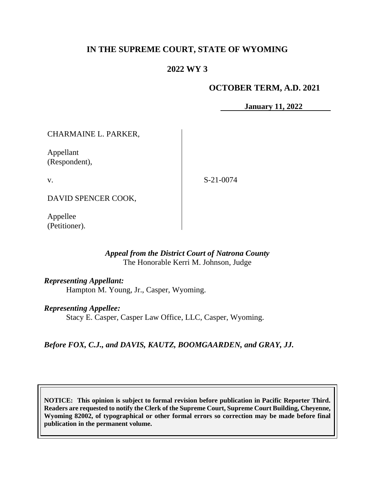# **IN THE SUPREME COURT, STATE OF WYOMING**

## **2022 WY 3**

### **OCTOBER TERM, A.D. 2021**

**January 11, 2022**

CHARMAINE L. PARKER,

Appellant (Respondent),

v.

S-21-0074

DAVID SPENCER COOK,

Appellee (Petitioner).

### *Appeal from the District Court of Natrona County* The Honorable Kerri M. Johnson, Judge

*Representing Appellant:*

Hampton M. Young, Jr., Casper, Wyoming.

### *Representing Appellee:*

Stacy E. Casper, Casper Law Office, LLC, Casper, Wyoming.

*Before FOX, C.J., and DAVIS, KAUTZ, BOOMGAARDEN, and GRAY, JJ.*

**NOTICE: This opinion is subject to formal revision before publication in Pacific Reporter Third. Readers are requested to notify the Clerk of the Supreme Court, Supreme Court Building, Cheyenne, Wyoming 82002, of typographical or other formal errors so correction may be made before final publication in the permanent volume.**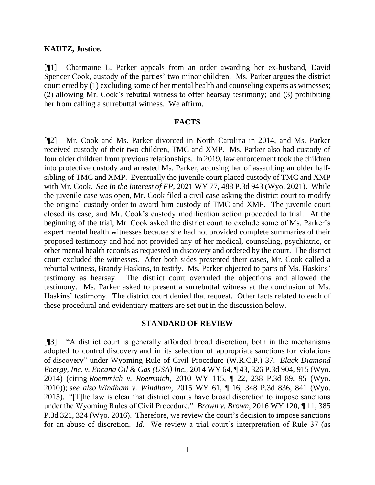#### **KAUTZ, Justice.**

[¶1] Charmaine L. Parker appeals from an order awarding her ex-husband, David Spencer Cook, custody of the parties' two minor children. Ms. Parker argues the district court erred by (1) excluding some of her mental health and counseling experts as witnesses; (2) allowing Mr. Cook's rebuttal witness to offer hearsay testimony; and (3) prohibiting her from calling a surrebuttal witness. We affirm.

#### **FACTS**

[¶2] Mr. Cook and Ms. Parker divorced in North Carolina in 2014, and Ms. Parker received custody of their two children, TMC and XMP. Ms. Parker also had custody of four older children from previous relationships. In 2019, law enforcement took the children into protective custody and arrested Ms. Parker, accusing her of assaulting an older halfsibling of TMC and XMP. Eventually the juvenile court placed custody of TMC and XMP with Mr. Cook. *See In the Interest of FP*, 2021 WY 77, 488 P.3d 943 (Wyo. 2021). While the juvenile case was open, Mr. Cook filed a civil case asking the district court to modify the original custody order to award him custody of TMC and XMP. The juvenile court closed its case, and Mr. Cook's custody modification action proceeded to trial. At the beginning of the trial, Mr. Cook asked the district court to exclude some of Ms. Parker's expert mental health witnesses because she had not provided complete summaries of their proposed testimony and had not provided any of her medical, counseling, psychiatric, or other mental health records as requested in discovery and ordered by the court. The district court excluded the witnesses. After both sides presented their cases, Mr. Cook called a rebuttal witness, Brandy Haskins, to testify. Ms. Parker objected to parts of Ms. Haskins' testimony as hearsay. The district court overruled the objections and allowed the testimony. Ms. Parker asked to present a surrebuttal witness at the conclusion of Ms. Haskins' testimony. The district court denied that request. Other facts related to each of these procedural and evidentiary matters are set out in the discussion below.

#### **STANDARD OF REVIEW**

[¶3] "A district court is generally afforded broad discretion, both in the mechanisms adopted to control discovery and in its selection of appropriate sanctions for violations of discovery" under Wyoming Rule of Civil Procedure (W.R.C.P.) 37. *Black Diamond Energy, Inc. v. Encana Oil & Gas (USA) Inc.*, 2014 WY 64, ¶ 43, 326 P.3d 904, 915 (Wyo. 2014) (citing *Roemmich v. Roemmich*, 2010 WY 115, ¶ 22, 238 P.3d 89, 95 (Wyo. 2010)); *see also Windham v. Windham*, 2015 WY 61, ¶ 16, 348 P.3d 836, 841 (Wyo. 2015). "[T]he law is clear that district courts have broad discretion to impose sanctions under the Wyoming Rules of Civil Procedure." *Brown v. Brown*, 2016 WY 120, ¶ 11, 385 P.3d 321, 324 (Wyo. 2016). Therefore, we review the court's decision to impose sanctions for an abuse of discretion. *Id*. We review a trial court's interpretation of Rule 37 (as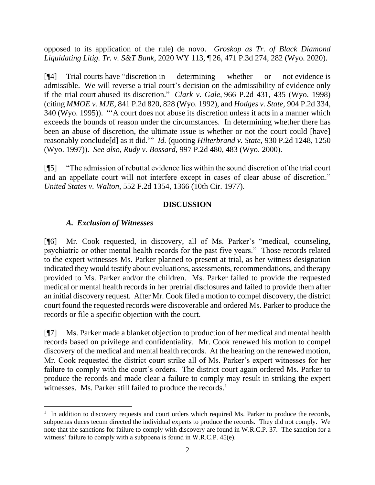opposed to its application of the rule) de novo. *Groskop as Tr. of Black Diamond Liquidating Litig. Tr. v. S&T Bank*, 2020 WY 113, ¶ 26, 471 P.3d 274, 282 (Wyo. 2020).

[¶4] Trial courts have "discretion in determining whether or not evidence is admissible. We will reverse a trial court's decision on the admissibility of evidence only if the trial court abused its discretion." *Clark v. Gale,* 966 P.2d 431, 435 (Wyo. 1998) (citing *MMOE v. MJE,* 841 P.2d 820, 828 (Wyo. 1992), and *Hodges v. State,* 904 P.2d 334, 340 (Wyo. 1995)). "'A court does not abuse its discretion unless it acts in a manner which exceeds the bounds of reason under the circumstances. In determining whether there has been an abuse of discretion, the ultimate issue is whether or not the court could [have] reasonably conclude[d] as it did.'" *Id.* (quoting *Hilterbrand v. State,* 930 P.2d 1248, 1250 (Wyo. 1997)). *See also, Rudy v. Bossard*, 997 P.2d 480, 483 (Wyo. 2000).

[¶5] "The admission of rebuttal evidence lies within the sound discretion of the trial court and an appellate court will not interfere except in cases of clear abuse of discretion." *United States v. Walton*, 552 F.2d 1354, 1366 (10th Cir. 1977).

## **DISCUSSION**

### *A. Exclusion of Witnesses*

[¶6] Mr. Cook requested, in discovery, all of Ms. Parker's "medical, counseling, psychiatric or other mental health records for the past five years." Those records related to the expert witnesses Ms. Parker planned to present at trial, as her witness designation indicated they would testify about evaluations, assessments, recommendations, and therapy provided to Ms. Parker and/or the children. Ms. Parker failed to provide the requested medical or mental health records in her pretrial disclosures and failed to provide them after an initial discovery request. After Mr. Cook filed a motion to compel discovery, the district court found the requested records were discoverable and ordered Ms. Parker to produce the records or file a specific objection with the court.

[¶7] Ms. Parker made a blanket objection to production of her medical and mental health records based on privilege and confidentiality. Mr. Cook renewed his motion to compel discovery of the medical and mental health records. At the hearing on the renewed motion, Mr. Cook requested the district court strike all of Ms. Parker's expert witnesses for her failure to comply with the court's orders. The district court again ordered Ms. Parker to produce the records and made clear a failure to comply may result in striking the expert witnesses. Ms. Parker still failed to produce the records.<sup>1</sup>

<sup>&</sup>lt;sup>1</sup> In addition to discovery requests and court orders which required Ms. Parker to produce the records, subpoenas duces tecum directed the individual experts to produce the records. They did not comply. We note that the sanctions for failure to comply with discovery are found in W.R.C.P. 37. The sanction for a witness' failure to comply with a subpoena is found in W.R.C.P. 45(e).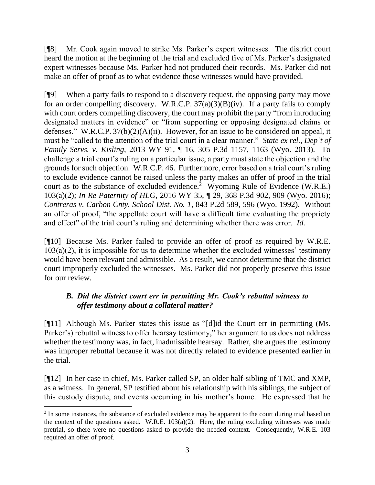[¶8] Mr. Cook again moved to strike Ms. Parker's expert witnesses. The district court heard the motion at the beginning of the trial and excluded five of Ms. Parker's designated expert witnesses because Ms. Parker had not produced their records. Ms. Parker did not make an offer of proof as to what evidence those witnesses would have provided.

[¶9] When a party fails to respond to a discovery request, the opposing party may move for an order compelling discovery. W.R.C.P.  $37(a)(3)(B)(iv)$ . If a party fails to comply with court orders compelling discovery, the court may prohibit the party "from introducing designated matters in evidence" or "from supporting or opposing designated claims or defenses." W.R.C.P. 37(b)(2)(A)(ii). However, for an issue to be considered on appeal, it must be "called to the attention of the trial court in a clear manner." *State ex rel., Dep't of Family Servs. v. Kisling,* 2013 WY 91, ¶ 16, 305 P.3d 1157, 1163 (Wyo. 2013). To challenge a trial court's ruling on a particular issue, a party must state the objection and the grounds for such objection. W.R.C.P. 46. Furthermore, error based on a trial court's ruling to exclude evidence cannot be raised unless the party makes an offer of proof in the trial court as to the substance of excluded evidence.<sup>2</sup> Wyoming Rule of Evidence (W.R.E.) 103(a)(2); *In Re Paternity of HLG*, 2016 WY 35, ¶ 29, 368 P.3d 902, 909 (Wyo. 2016); *Contreras v. Carbon Cnty. School Dist. No. 1*, 843 P.2d 589, 596 (Wyo. 1992). Without an offer of proof, "the appellate court will have a difficult time evaluating the propriety and effect" of the trial court's ruling and determining whether there was error. *Id.*

[¶10] Because Ms. Parker failed to provide an offer of proof as required by W.R.E.  $103(a)(2)$ , it is impossible for us to determine whether the excluded witnesses' testimony would have been relevant and admissible. As a result, we cannot determine that the district court improperly excluded the witnesses. Ms. Parker did not properly preserve this issue for our review.

# *B. Did the district court err in permitting Mr. Cook's rebuttal witness to offer testimony about a collateral matter?*

[¶11] Although Ms. Parker states this issue as "[d]id the Court err in permitting (Ms. Parker's) rebuttal witness to offer hearsay testimony," her argument to us does not address whether the testimony was, in fact, inadmissible hearsay. Rather, she argues the testimony was improper rebuttal because it was not directly related to evidence presented earlier in the trial.

[¶12] In her case in chief, Ms. Parker called SP, an older half-sibling of TMC and XMP, as a witness. In general, SP testified about his relationship with his siblings, the subject of this custody dispute, and events occurring in his mother's home. He expressed that he

<sup>&</sup>lt;sup>2</sup> In some instances, the substance of excluded evidence may be apparent to the court during trial based on the context of the questions asked. W.R.E. 103(a)(2). Here, the ruling excluding witnesses was made pretrial, so there were no questions asked to provide the needed context. Consequently, W.R.E. 103 required an offer of proof.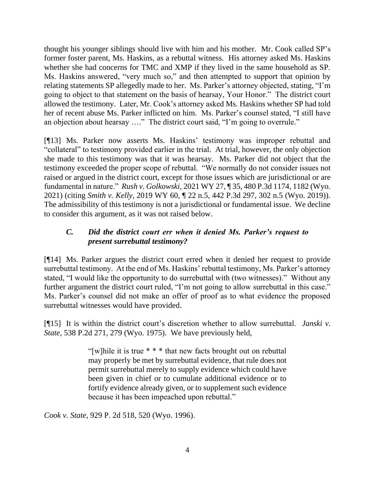thought his younger siblings should live with him and his mother. Mr. Cook called SP's former foster parent, Ms. Haskins, as a rebuttal witness. His attorney asked Ms. Haskins whether she had concerns for TMC and XMP if they lived in the same household as SP. Ms. Haskins answered, "very much so," and then attempted to support that opinion by relating statements SP allegedly made to her. Ms. Parker's attorney objected, stating, "I'm going to object to that statement on the basis of hearsay, Your Honor." The district court allowed the testimony. Later, Mr. Cook's attorney asked Ms. Haskins whether SP had told her of recent abuse Ms. Parker inflicted on him. Ms. Parker's counsel stated, "I still have an objection about hearsay …." The district court said, "I'm going to overrule."

[¶13] Ms. Parker now asserts Ms. Haskins' testimony was improper rebuttal and "collateral" to testimony provided earlier in the trial. At trial, however, the only objection she made to this testimony was that it was hearsay. Ms. Parker did not object that the testimony exceeded the proper scope of rebuttal. "We normally do not consider issues not raised or argued in the district court, except for those issues which are jurisdictional or are fundamental in nature." *Rush v. Golkowski*, 2021 WY 27, ¶ 35, 480 P.3d 1174, 1182 (Wyo. 2021) (citing *Smith v. Kelly*, 2019 WY 60, ¶ 22 n.5, 442 P.3d 297, 302 n.5 (Wyo. 2019)). The admissibility of this testimony is not a jurisdictional or fundamental issue. We decline to consider this argument, as it was not raised below.

## *C. Did the district court err when it denied Ms. Parker's request to present surrebuttal testimony?*

[¶14] Ms. Parker argues the district court erred when it denied her request to provide surrebuttal testimony. At the end of Ms. Haskins' rebuttal testimony, Ms. Parker's attorney stated, "I would like the opportunity to do surrebuttal with (two witnesses)." Without any further argument the district court ruled, "I'm not going to allow surrebuttal in this case." Ms. Parker's counsel did not make an offer of proof as to what evidence the proposed surrebuttal witnesses would have provided.

[¶15] It is within the district court's discretion whether to allow surrebuttal. *Janski v. State*, 538 P.2d 271, 279 (Wyo. 1975). We have previously held,

> "[w] hile it is true  $***$  that new facts brought out on rebuttal may properly be met by surrebuttal evidence, that rule does not permit surrebuttal merely to supply evidence which could have been given in chief or to cumulate additional evidence or to fortify evidence already given, or to supplement such evidence because it has been impeached upon rebuttal."

*Cook v. State*, 929 P. 2d 518, 520 (Wyo. 1996).